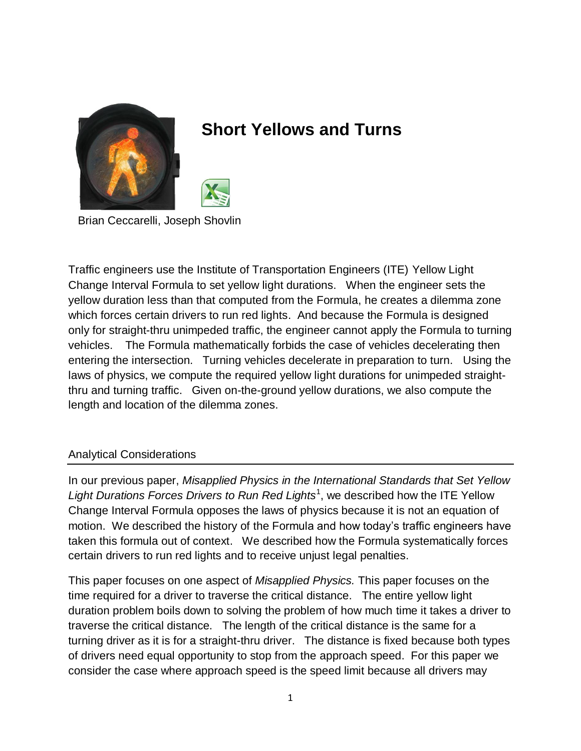

# **Short Yellows and Turns**



Brian Ceccarelli, Joseph Shovlin

Traffic engineers use the Institute of Transportation Engineers (ITE) Yellow Light Change Interval Formula to set yellow light durations. When the engineer sets the yellow duration less than that computed from the Formula, he creates a dilemma zone which forces certain drivers to run red lights. And because the Formula is designed only for straight-thru unimpeded traffic, the engineer cannot apply the Formula to turning vehicles. The Formula mathematically forbids the case of vehicles decelerating then entering the intersection. Turning vehicles decelerate in preparation to turn. Using the laws of physics, we compute the required yellow light durations for unimpeded straightthru and turning traffic. Given on-the-ground yellow durations, we also compute the length and location of the dilemma zones.

#### Analytical Considerations

In our previous paper, *Misapplied Physics in the International Standards that Set Yellow*  Light Durations Forces Drivers to Run Red Lights<sup>1</sup>, we described how the ITE Yellow Change Interval Formula opposes the laws of physics because it is not an equation of motion. We described the history of the Formula and how today's traffic engineers have taken this formula out of context. We described how the Formula systematically forces certain drivers to run red lights and to receive unjust legal penalties.

This paper focuses on one aspect of *Misapplied Physics.* This paper focuses on the time required for a driver to traverse the critical distance. The entire yellow light duration problem boils down to solving the problem of how much time it takes a driver to traverse the critical distance. The length of the critical distance is the same for a turning driver as it is for a straight-thru driver. The distance is fixed because both types of drivers need equal opportunity to stop from the approach speed. For this paper we consider the case where approach speed is the speed limit because all drivers may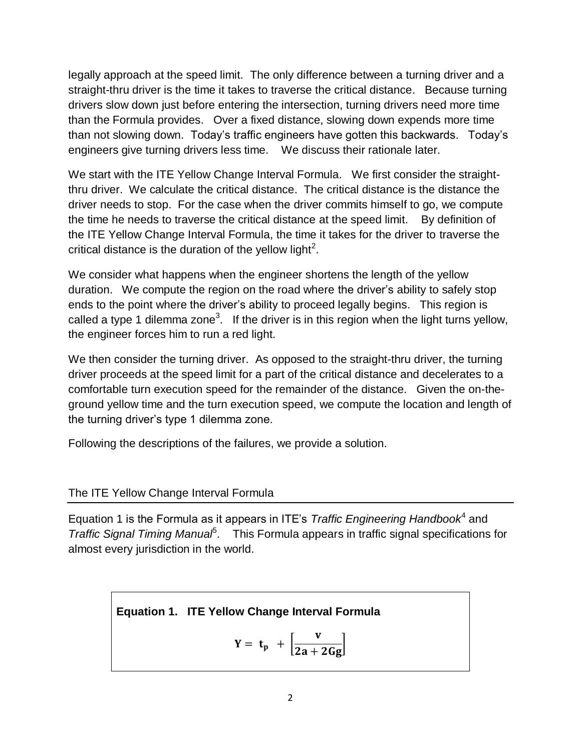legally approach at the speed limit. The only difference between a turning driver and a straight-thru driver is the time it takes to traverse the critical distance. Because turning drivers slow down just before entering the intersection, turning drivers need more time than the Formula provides. Over a fixed distance, slowing down expends more time than not slowing down. Today's traffic engineers have gotten this backwards. Today's engineers give turning drivers less time. We discuss their rationale later.

We start with the ITE Yellow Change Interval Formula. We first consider the straightthru driver. We calculate the critical distance. The critical distance is the distance the driver needs to stop. For the case when the driver commits himself to go, we compute the time he needs to traverse the critical distance at the speed limit. By definition of the ITE Yellow Change Interval Formula, the time it takes for the driver to traverse the critical distance is the duration of the yellow light<sup>2</sup>.

We consider what happens when the engineer shortens the length of the yellow duration. We compute the region on the road where the driver's ability to safely stop ends to the point where the driver's ability to proceed legally begins. This region is called a type 1 dilemma zone<sup>3</sup>. If the driver is in this region when the light turns yellow, the engineer forces him to run a red light.

We then consider the turning driver. As opposed to the straight-thru driver, the turning driver proceeds at the speed limit for a part of the critical distance and decelerates to a comfortable turn execution speed for the remainder of the distance. Given the on-theground yellow time and the turn execution speed, we compute the location and length of the turning driver's type 1 dilemma zone.

Following the descriptions of the failures, we provide a solution.

#### The ITE Yellow Change Interval Formula

Equation 1 is the Formula as it appears in ITE's *Traffic Engineering Handbook*<sup>4</sup> and Traffic Signal Timing Manua<sup>p</sup>. This Formula appears in traffic signal specifications for almost every jurisdiction in the world.

## **Equation 1. ITE Yellow Change Interval Formula**

$$
Y = t_p + \left[\frac{v}{2a + 2Gg}\right]
$$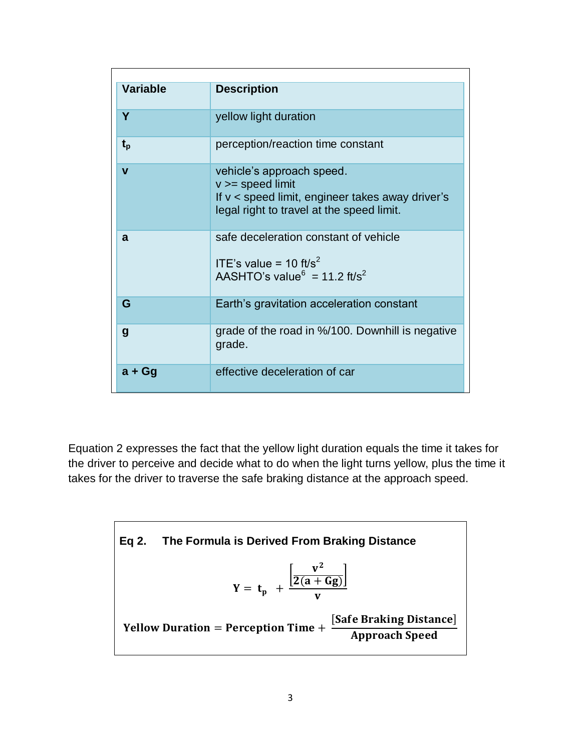| <b>Variable</b> | <b>Description</b>                                                                                                                                 |
|-----------------|----------------------------------------------------------------------------------------------------------------------------------------------------|
| Y               | yellow light duration                                                                                                                              |
| $t_{p}$         | perception/reaction time constant                                                                                                                  |
| $\mathbf{V}$    | vehicle's approach speed.<br>$v \geq$ speed limit<br>If y < speed limit, engineer takes away driver's<br>legal right to travel at the speed limit. |
| a               | safe deceleration constant of vehicle<br>ITE's value = 10 ft/s <sup>2</sup><br>AASHTO's value <sup>6</sup> = 11.2 ft/s <sup>2</sup>                |
| G               | Earth's gravitation acceleration constant                                                                                                          |
| g               | grade of the road in %/100. Downhill is negative<br>grade.                                                                                         |
| $a + Gg$        | effective deceleration of car                                                                                                                      |

Equation 2 expresses the fact that the yellow light duration equals the time it takes for the driver to perceive and decide what to do when the light turns yellow, plus the time it takes for the driver to traverse the safe braking distance at the approach speed.

Eq 2. The Formula is Derived From Braking Distance  
\n
$$
Y = t_p + \frac{\left[\frac{v^2}{2(a+Gg)}\right]}{v}
$$
\n
$$
Y = \frac{K}{2(a+Gg)}
$$
\n
$$
Y = \frac{Safe Braking Distance}{Approach Speed}
$$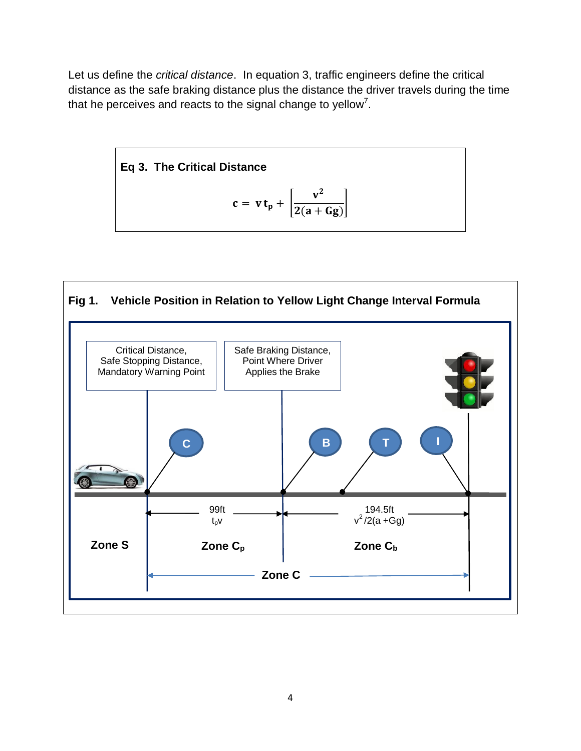Let us define the *critical distance*. In equation 3, traffic engineers define the critical distance as the safe braking distance plus the distance the driver travels during the time that he perceives and reacts to the signal change to yellow<sup>7</sup>.



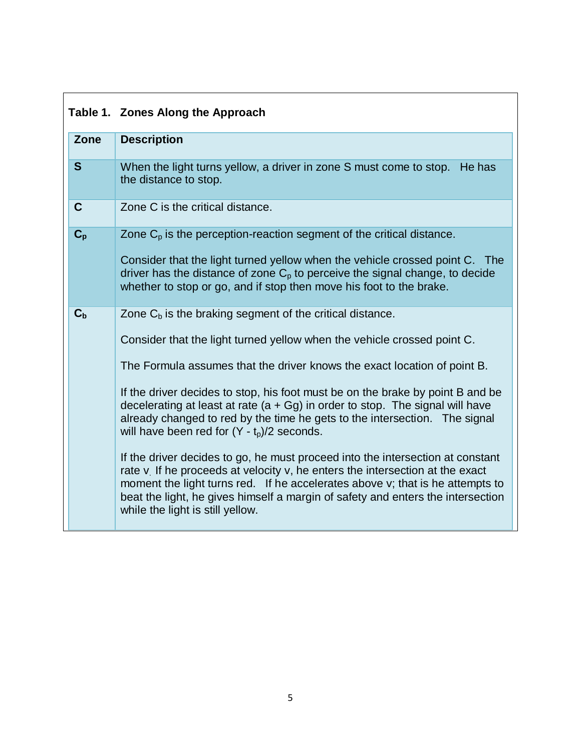## **Table 1. Zones Along the Approach**

| Zone        | <b>Description</b>                                                                                                                                                                                                                                                                                                                                                                                                                                                                                                                                                                                                                                                                                                                                                                                                                                                                                  |
|-------------|-----------------------------------------------------------------------------------------------------------------------------------------------------------------------------------------------------------------------------------------------------------------------------------------------------------------------------------------------------------------------------------------------------------------------------------------------------------------------------------------------------------------------------------------------------------------------------------------------------------------------------------------------------------------------------------------------------------------------------------------------------------------------------------------------------------------------------------------------------------------------------------------------------|
| S           | When the light turns yellow, a driver in zone S must come to stop.<br>He has<br>the distance to stop.                                                                                                                                                                                                                                                                                                                                                                                                                                                                                                                                                                                                                                                                                                                                                                                               |
| $\mathbf C$ | Zone C is the critical distance.                                                                                                                                                                                                                                                                                                                                                                                                                                                                                                                                                                                                                                                                                                                                                                                                                                                                    |
| $C_{\rm p}$ | Zone $C_p$ is the perception-reaction segment of the critical distance.<br>Consider that the light turned yellow when the vehicle crossed point C. The<br>driver has the distance of zone $C_p$ to perceive the signal change, to decide<br>whether to stop or go, and if stop then move his foot to the brake.                                                                                                                                                                                                                                                                                                                                                                                                                                                                                                                                                                                     |
| $C_{b}$     | Zone $C_b$ is the braking segment of the critical distance.<br>Consider that the light turned yellow when the vehicle crossed point C.<br>The Formula assumes that the driver knows the exact location of point B.<br>If the driver decides to stop, his foot must be on the brake by point B and be<br>decelerating at least at rate ( $a + Gg$ ) in order to stop. The signal will have<br>already changed to red by the time he gets to the intersection. The signal<br>will have been red for $(Y - t_p)/2$ seconds.<br>If the driver decides to go, he must proceed into the intersection at constant<br>rate v. If he proceeds at velocity v, he enters the intersection at the exact<br>moment the light turns red. If he accelerates above v; that is he attempts to<br>beat the light, he gives himself a margin of safety and enters the intersection<br>while the light is still yellow. |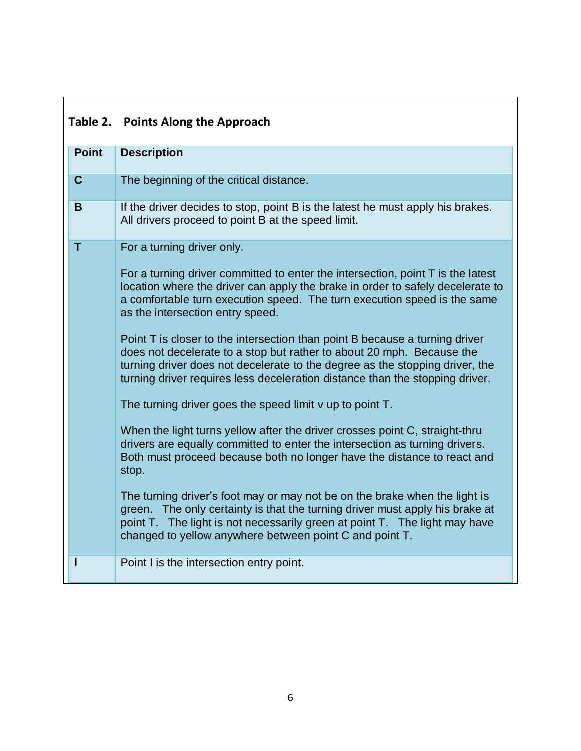|              | Table 2. Points Along the Approach                                                                                                                                                                                                                                                                                   |
|--------------|----------------------------------------------------------------------------------------------------------------------------------------------------------------------------------------------------------------------------------------------------------------------------------------------------------------------|
| <b>Point</b> | <b>Description</b>                                                                                                                                                                                                                                                                                                   |
| $\mathbf C$  | The beginning of the critical distance.                                                                                                                                                                                                                                                                              |
| B            | If the driver decides to stop, point B is the latest he must apply his brakes.<br>All drivers proceed to point B at the speed limit.                                                                                                                                                                                 |
| т            | For a turning driver only.                                                                                                                                                                                                                                                                                           |
|              | For a turning driver committed to enter the intersection, point T is the latest<br>location where the driver can apply the brake in order to safely decelerate to<br>a comfortable turn execution speed. The turn execution speed is the same<br>as the intersection entry speed.                                    |
|              | Point T is closer to the intersection than point B because a turning driver<br>does not decelerate to a stop but rather to about 20 mph. Because the<br>turning driver does not decelerate to the degree as the stopping driver, the<br>turning driver requires less deceleration distance than the stopping driver. |
|              | The turning driver goes the speed limit v up to point T.                                                                                                                                                                                                                                                             |
|              | When the light turns yellow after the driver crosses point C, straight-thru<br>drivers are equally committed to enter the intersection as turning drivers.<br>Both must proceed because both no longer have the distance to react and<br>stop.                                                                       |
|              | The turning driver's foot may or may not be on the brake when the light is<br>green. The only certainty is that the turning driver must apply his brake at<br>point T. The light is not necessarily green at point T. The light may have<br>changed to yellow anywhere between point C and point T.                  |
|              | Point I is the intersection entry point.                                                                                                                                                                                                                                                                             |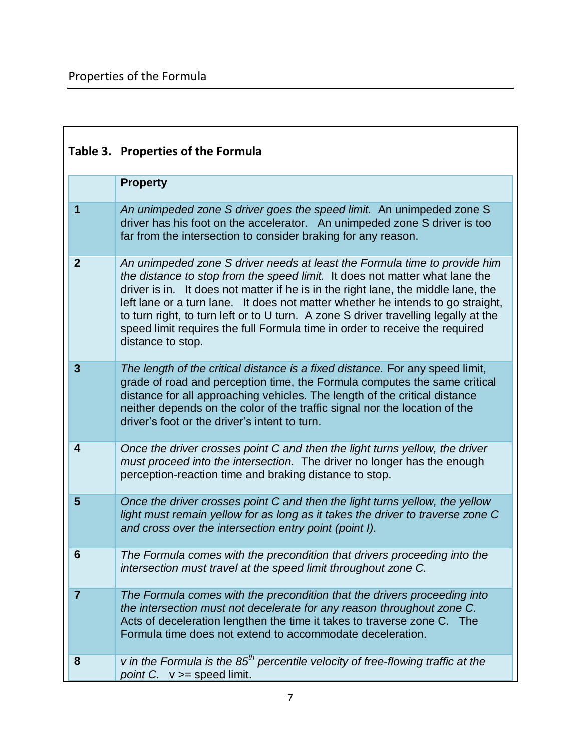|                         | Table 3. Properties of the Formula                                                                                                                                                                                                                                                                                                                                                                                                                                                                                          |  |
|-------------------------|-----------------------------------------------------------------------------------------------------------------------------------------------------------------------------------------------------------------------------------------------------------------------------------------------------------------------------------------------------------------------------------------------------------------------------------------------------------------------------------------------------------------------------|--|
|                         | <b>Property</b>                                                                                                                                                                                                                                                                                                                                                                                                                                                                                                             |  |
| 1                       | An unimpeded zone S driver goes the speed limit. An unimpeded zone S<br>driver has his foot on the accelerator. An unimpeded zone S driver is too<br>far from the intersection to consider braking for any reason.                                                                                                                                                                                                                                                                                                          |  |
| $\mathbf{2}$            | An unimpeded zone S driver needs at least the Formula time to provide him<br>the distance to stop from the speed limit. It does not matter what lane the<br>driver is in. It does not matter if he is in the right lane, the middle lane, the<br>left lane or a turn lane. It does not matter whether he intends to go straight,<br>to turn right, to turn left or to U turn. A zone S driver travelling legally at the<br>speed limit requires the full Formula time in order to receive the required<br>distance to stop. |  |
| $\mathbf{3}$            | The length of the critical distance is a fixed distance. For any speed limit,<br>grade of road and perception time, the Formula computes the same critical<br>distance for all approaching vehicles. The length of the critical distance<br>neither depends on the color of the traffic signal nor the location of the<br>driver's foot or the driver's intent to turn.                                                                                                                                                     |  |
| $\overline{\mathbf{4}}$ | Once the driver crosses point C and then the light turns yellow, the driver<br>must proceed into the intersection. The driver no longer has the enough<br>perception-reaction time and braking distance to stop.                                                                                                                                                                                                                                                                                                            |  |
| 5                       | Once the driver crosses point C and then the light turns yellow, the yellow<br>light must remain yellow for as long as it takes the driver to traverse zone C<br>and cross over the intersection entry point (point I).                                                                                                                                                                                                                                                                                                     |  |
| 6                       | The Formula comes with the precondition that drivers proceeding into the<br>intersection must travel at the speed limit throughout zone C.                                                                                                                                                                                                                                                                                                                                                                                  |  |
| $\overline{7}$          | The Formula comes with the precondition that the drivers proceeding into<br>the intersection must not decelerate for any reason throughout zone C.<br>Acts of deceleration lengthen the time it takes to traverse zone C. The<br>Formula time does not extend to accommodate deceleration.                                                                                                                                                                                                                                  |  |
| 8                       | v in the Formula is the $85th$ percentile velocity of free-flowing traffic at the<br>point C. $v \geq$ speed limit.                                                                                                                                                                                                                                                                                                                                                                                                         |  |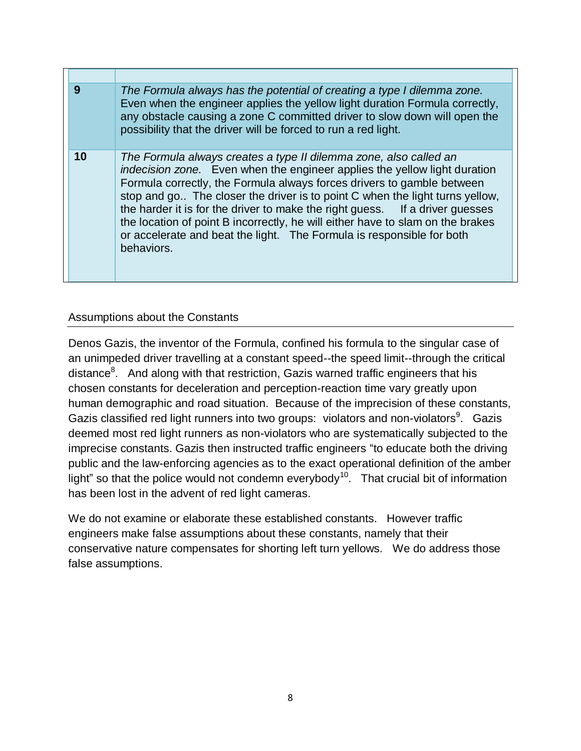| 9  | The Formula always has the potential of creating a type I dilemma zone.<br>Even when the engineer applies the yellow light duration Formula correctly,<br>any obstacle causing a zone C committed driver to slow down will open the<br>possibility that the driver will be forced to run a red light.                                                                                                                                                                                                                                                             |
|----|-------------------------------------------------------------------------------------------------------------------------------------------------------------------------------------------------------------------------------------------------------------------------------------------------------------------------------------------------------------------------------------------------------------------------------------------------------------------------------------------------------------------------------------------------------------------|
| 10 | The Formula always creates a type II dilemma zone, also called an<br>indecision zone. Even when the engineer applies the yellow light duration<br>Formula correctly, the Formula always forces drivers to gamble between<br>stop and go The closer the driver is to point C when the light turns yellow,<br>the harder it is for the driver to make the right guess. If a driver guesses<br>the location of point B incorrectly, he will either have to slam on the brakes<br>or accelerate and beat the light. The Formula is responsible for both<br>behaviors. |

## Assumptions about the Constants

Denos Gazis, the inventor of the Formula, confined his formula to the singular case of an unimpeded driver travelling at a constant speed--the speed limit--through the critical distance<sup>8</sup>. And along with that restriction, Gazis warned traffic engineers that his chosen constants for deceleration and perception-reaction time vary greatly upon human demographic and road situation. Because of the imprecision of these constants, Gazis classified red light runners into two groups: violators and non-violators $9$ . Gazis deemed most red light runners as non-violators who are systematically subjected to the imprecise constants. Gazis then instructed traffic engineers "to educate both the driving public and the law-enforcing agencies as to the exact operational definition of the amber light" so that the police would not condemn everybody<sup>10</sup>. That crucial bit of information has been lost in the advent of red light cameras.

We do not examine or elaborate these established constants. However traffic engineers make false assumptions about these constants, namely that their conservative nature compensates for shorting left turn yellows. We do address those false assumptions.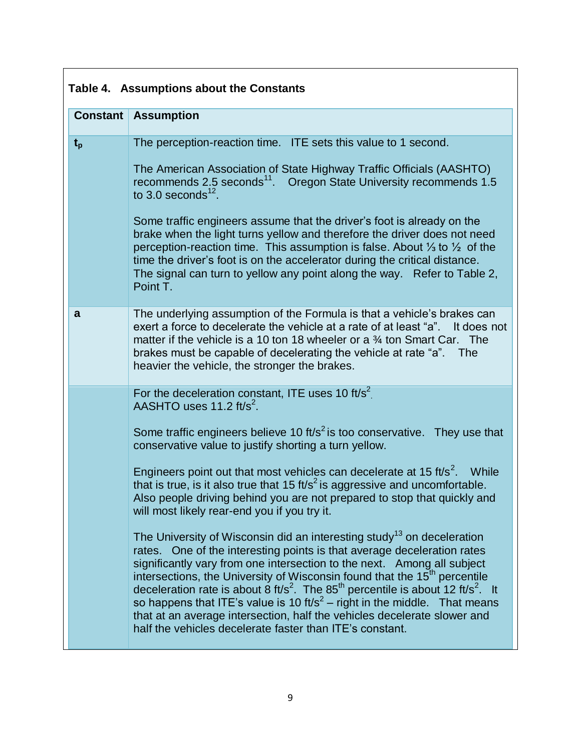| Table 4. Assumptions about the Constants |                                                                                                                                                                                                                                                                                                                                                                                                                                                                                                                                                                                                                                                                                           |  |
|------------------------------------------|-------------------------------------------------------------------------------------------------------------------------------------------------------------------------------------------------------------------------------------------------------------------------------------------------------------------------------------------------------------------------------------------------------------------------------------------------------------------------------------------------------------------------------------------------------------------------------------------------------------------------------------------------------------------------------------------|--|
| <b>Constant</b>                          | <b>Assumption</b>                                                                                                                                                                                                                                                                                                                                                                                                                                                                                                                                                                                                                                                                         |  |
| $t_{p}$                                  | The perception-reaction time. ITE sets this value to 1 second.                                                                                                                                                                                                                                                                                                                                                                                                                                                                                                                                                                                                                            |  |
|                                          | The American Association of State Highway Traffic Officials (AASHTO)<br>recommends 2.5 seconds <sup>11</sup> . Oregon State University recommends 1.5<br>to 3.0 seconds $^{12}$ .                                                                                                                                                                                                                                                                                                                                                                                                                                                                                                         |  |
|                                          | Some traffic engineers assume that the driver's foot is already on the<br>brake when the light turns yellow and therefore the driver does not need<br>perception-reaction time. This assumption is false. About $\frac{1}{3}$ to $\frac{1}{2}$ of the<br>time the driver's foot is on the accelerator during the critical distance.<br>The signal can turn to yellow any point along the way. Refer to Table 2,<br>Point T.                                                                                                                                                                                                                                                               |  |
| a                                        | The underlying assumption of the Formula is that a vehicle's brakes can<br>exert a force to decelerate the vehicle at a rate of at least "a".<br>It does not<br>matter if the vehicle is a 10 ton 18 wheeler or a $\frac{3}{4}$ ton Smart Car.<br>The<br>brakes must be capable of decelerating the vehicle at rate "a".<br><b>The</b><br>heavier the vehicle, the stronger the brakes.                                                                                                                                                                                                                                                                                                   |  |
|                                          | For the deceleration constant, ITE uses 10 ft/s <sup>2</sup><br>AASHTO uses 11.2 ft/s <sup>2</sup> .                                                                                                                                                                                                                                                                                                                                                                                                                                                                                                                                                                                      |  |
|                                          | Some traffic engineers believe 10 ft/s <sup>2</sup> is too conservative. They use that<br>conservative value to justify shorting a turn yellow.                                                                                                                                                                                                                                                                                                                                                                                                                                                                                                                                           |  |
|                                          | Engineers point out that most vehicles can decelerate at 15 ft/s <sup>2</sup> . While<br>that is true, is it also true that 15 ft/s <sup>2</sup> is aggressive and uncomfortable.<br>Also people driving behind you are not prepared to stop that quickly and<br>will most likely rear-end you if you try it.                                                                                                                                                                                                                                                                                                                                                                             |  |
|                                          | The University of Wisconsin did an interesting study <sup>13</sup> on deceleration<br>rates. One of the interesting points is that average deceleration rates<br>significantly vary from one intersection to the next. Among all subject<br>intersections, the University of Wisconsin found that the 15 <sup>th</sup> percentile<br>deceleration rate is about 8 ft/s <sup>2</sup> . The 85 <sup>th</sup> percentile is about 12 ft/s <sup>2</sup> . It<br>so happens that ITE's value is 10 ft/s <sup>2</sup> – right in the middle. That means<br>that at an average intersection, half the vehicles decelerate slower and<br>half the vehicles decelerate faster than ITE's constant. |  |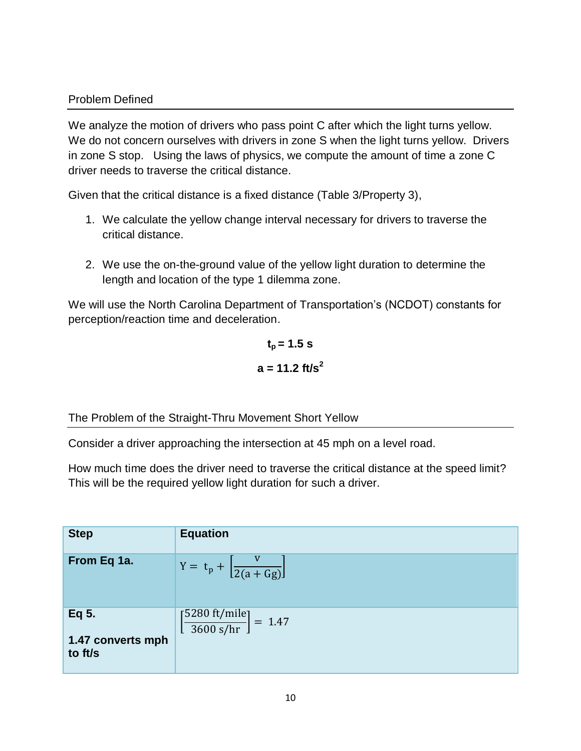#### Problem Defined

We analyze the motion of drivers who pass point C after which the light turns yellow. We do not concern ourselves with drivers in zone S when the light turns yellow. Drivers in zone S stop. Using the laws of physics, we compute the amount of time a zone C driver needs to traverse the critical distance.

Given that the critical distance is a fixed distance (Table 3/Property 3),

- 1. We calculate the yellow change interval necessary for drivers to traverse the critical distance.
- 2. We use the on-the-ground value of the yellow light duration to determine the length and location of the type 1 dilemma zone.

We will use the North Carolina Department of Transportation's (NCDOT) constants for perception/reaction time and deceleration.

$$
t_p = 1.5 \text{ s}
$$

$$
a = 11.2 \text{ ft/s}^2
$$

The Problem of the Straight-Thru Movement Short Yellow

Consider a driver approaching the intersection at 45 mph on a level road.

How much time does the driver need to traverse the critical distance at the speed limit? This will be the required yellow light duration for such a driver.

| <b>Step</b>                           | <b>Equation</b>                                                      |
|---------------------------------------|----------------------------------------------------------------------|
| From Eq 1a.                           | $Y = t_p + \left[ \frac{v}{2(a+Gg)} \right]$                         |
| Eq 5.<br>1.47 converts mph<br>to ft/s | $\left[\frac{5280 \text{ ft/mile}}{3600 \text{ s/hr}}\right] = 1.47$ |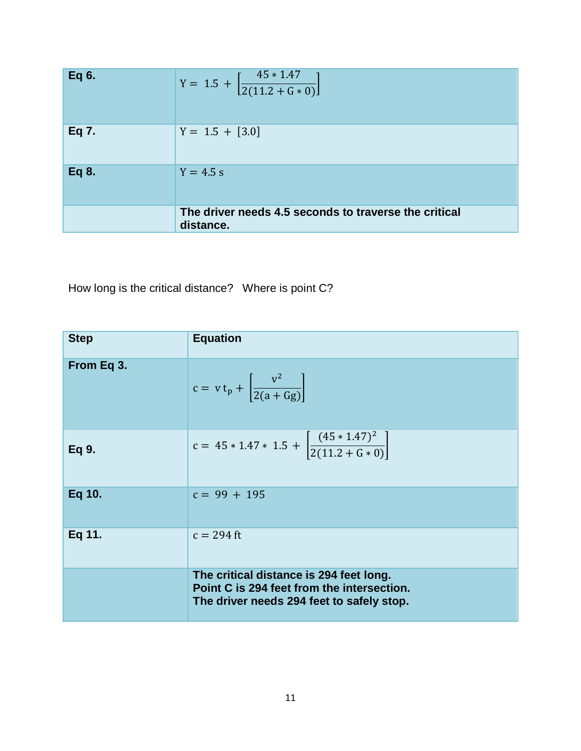| Eq 6. | Y = 1.5 + $\left[\frac{45 * 1.47}{2(11.2 + G * 0)}\right]$         |
|-------|--------------------------------------------------------------------|
| Eq 7. | $Y = 1.5 + [3.0]$                                                  |
| Eq 8. | $Y = 4.5 s$                                                        |
|       | The driver needs 4.5 seconds to traverse the critical<br>distance. |

How long is the critical distance? Where is point C?

| <b>Step</b> | <b>Equation</b>                                                                                                                    |
|-------------|------------------------------------------------------------------------------------------------------------------------------------|
| From Eq 3.  | $c = v t_p + \left  \frac{v^2}{2(a+Gg)} \right $                                                                                   |
| Eq 9.       | c = $45 * 1.47 * 1.5 + \left  \frac{(45 * 1.47)^2}{2(11.2 + G * 0)} \right $                                                       |
| Eq 10.      | $c = 99 + 195$                                                                                                                     |
| Eq 11.      | $c = 294$ ft                                                                                                                       |
|             | The critical distance is 294 feet long.<br>Point C is 294 feet from the intersection.<br>The driver needs 294 feet to safely stop. |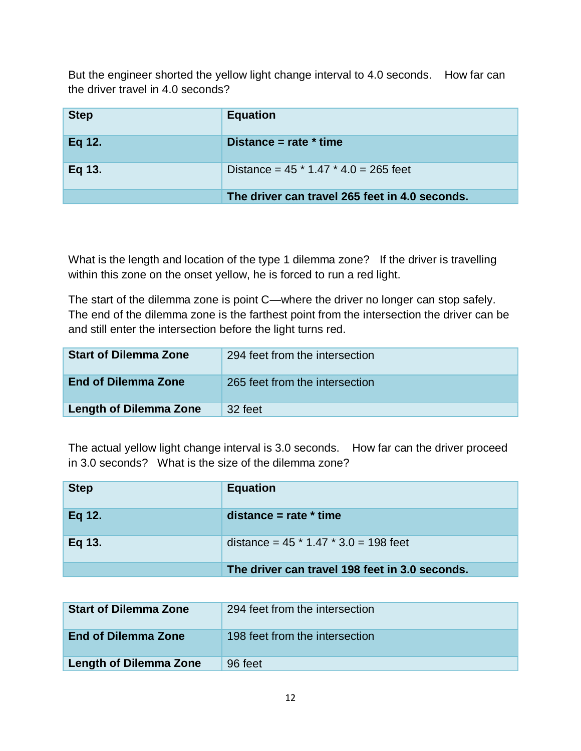But the engineer shorted the yellow light change interval to 4.0 seconds. How far can the driver travel in 4.0 seconds?

| <b>Step</b> | <b>Equation</b>                                |
|-------------|------------------------------------------------|
| Eq 12.      | Distance = rate $*$ time                       |
| Eq 13.      | Distance = $45 * 1.47 * 4.0 = 265$ feet        |
|             | The driver can travel 265 feet in 4.0 seconds. |

What is the length and location of the type 1 dilemma zone? If the driver is travelling within this zone on the onset yellow, he is forced to run a red light.

The start of the dilemma zone is point C—where the driver no longer can stop safely. The end of the dilemma zone is the farthest point from the intersection the driver can be and still enter the intersection before the light turns red.

| <b>Start of Dilemma Zone</b>  | 294 feet from the intersection |
|-------------------------------|--------------------------------|
| <b>End of Dilemma Zone</b>    | 265 feet from the intersection |
| <b>Length of Dilemma Zone</b> | 32 feet                        |

The actual yellow light change interval is 3.0 seconds. How far can the driver proceed in 3.0 seconds? What is the size of the dilemma zone?

| <b>Step</b> | <b>Equation</b>                                |
|-------------|------------------------------------------------|
| Eq 12.      | distance = $rate * time$                       |
| Eq 13.      | distance = $45 * 1.47 * 3.0 = 198$ feet        |
|             | The driver can travel 198 feet in 3.0 seconds. |

| <b>Start of Dilemma Zone</b>  | 294 feet from the intersection |
|-------------------------------|--------------------------------|
| <b>End of Dilemma Zone</b>    | 198 feet from the intersection |
| <b>Length of Dilemma Zone</b> | 96 feet                        |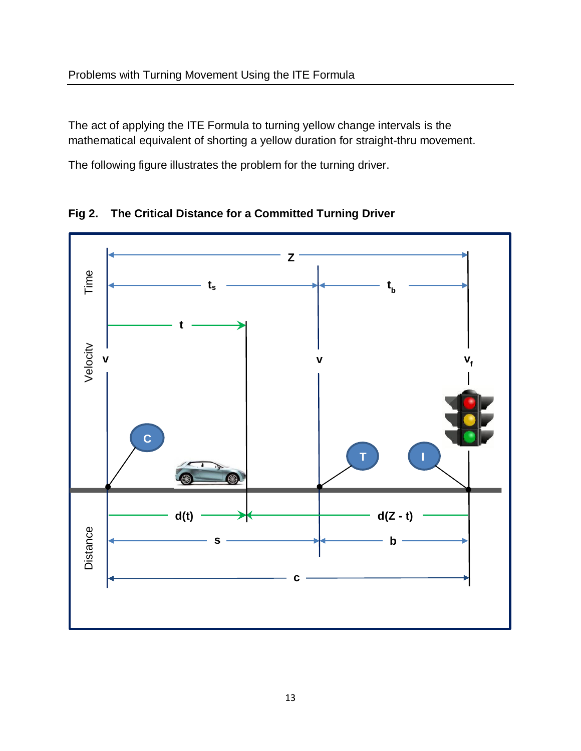The act of applying the ITE Formula to turning yellow change intervals is the mathematical equivalent of shorting a yellow duration for straight-thru movement.

The following figure illustrates the problem for the turning driver.



**Fig 2. The Critical Distance for a Committed Turning Driver**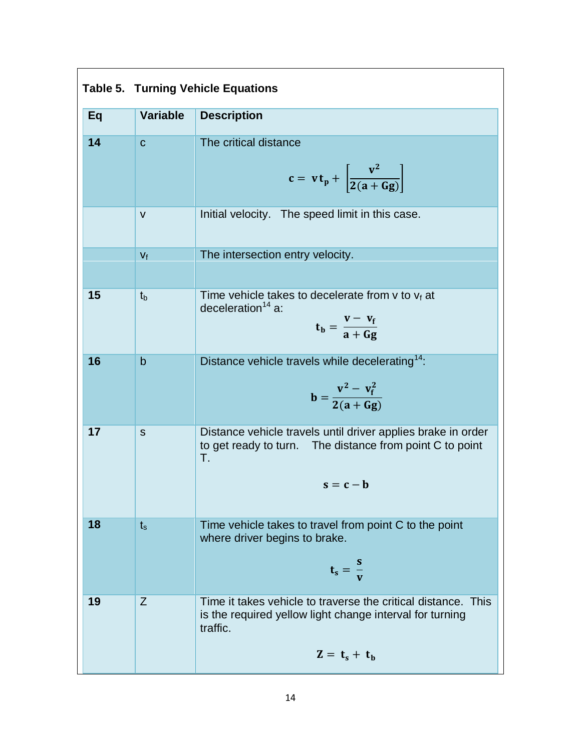| Eq | <b>Variable</b> | <b>Description</b>                                                                                                                                       |
|----|-----------------|----------------------------------------------------------------------------------------------------------------------------------------------------------|
| 14 | $\mathbf C$     | The critical distance<br>$c = vt_p + \left  \frac{v^2}{2(a + Gg)} \right $                                                                               |
|    | $\mathsf{V}$    | Initial velocity. The speed limit in this case.                                                                                                          |
|    | $V_f$           | The intersection entry velocity.                                                                                                                         |
| 15 | $t_{b}$         | Time vehicle takes to decelerate from $v$ to $v_f$ at<br>deceleration <sup>14</sup> a:<br>$t_b = \frac{v - v_f}{a + G\sigma}$                            |
| 16 | $\mathsf b$     | Distance vehicle travels while decelerating <sup>14</sup> :<br>$b = \frac{v^2 - v_f^2}{2(a + Gg)}$                                                       |
| 17 | S               | Distance vehicle travels until driver applies brake in order<br>to get ready to turn. The distance from point C to point<br>T.<br>$s = c - b$            |
| 18 | $t_s$           | Time vehicle takes to travel from point C to the point<br>where driver begins to brake.<br>$t_s = \frac{s}{v}$                                           |
| 19 | Z               | Time it takes vehicle to traverse the critical distance. This<br>is the required yellow light change interval for turning<br>traffic.<br>$Z = t_s + t_h$ |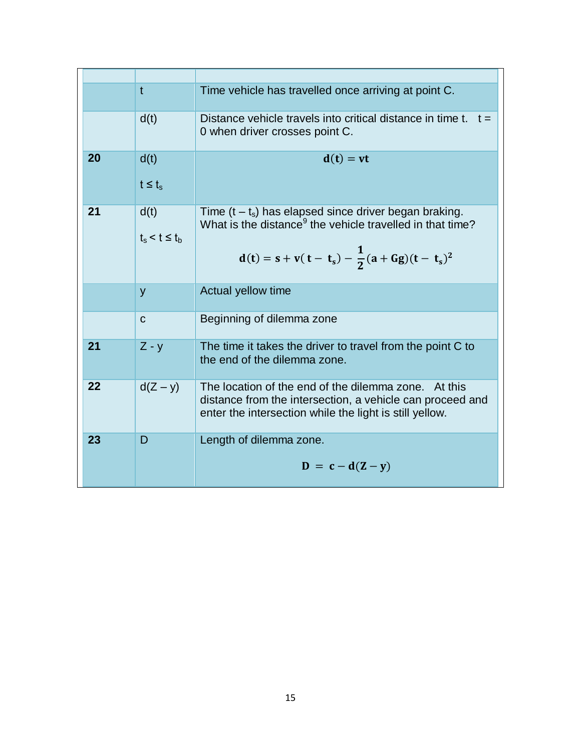|    | $\mathbf t$                | Time vehicle has travelled once arriving at point C.                                                                                                                                          |
|----|----------------------------|-----------------------------------------------------------------------------------------------------------------------------------------------------------------------------------------------|
|    | d(t)                       | Distance vehicle travels into critical distance in time t. $t =$<br>0 when driver crosses point C.                                                                                            |
| 20 | d(t)<br>$t \leq t_s$       | $d(t) = vt$                                                                                                                                                                                   |
| 21 | d(t)<br>$t_s < t \leq t_b$ | Time $(t - t_s)$ has elapsed since driver began braking.<br>What is the distance <sup>9</sup> the vehicle travelled in that time?<br>$d(t) = s + v(t - t_s) - \frac{1}{2}(a + Gg)(t - t_s)^2$ |
|    | y                          | Actual yellow time                                                                                                                                                                            |
|    | $\mathbf C$                | Beginning of dilemma zone                                                                                                                                                                     |
| 21 | $Z - y$                    | The time it takes the driver to travel from the point C to<br>the end of the dilemma zone.                                                                                                    |
| 22 | $d(Z - y)$                 | The location of the end of the dilemma zone. At this<br>distance from the intersection, a vehicle can proceed and<br>enter the intersection while the light is still yellow.                  |
| 23 | D                          | Length of dilemma zone.<br>$\mathbf{D} = \mathbf{c} - \mathbf{d}(\mathbf{Z} - \mathbf{y})$                                                                                                    |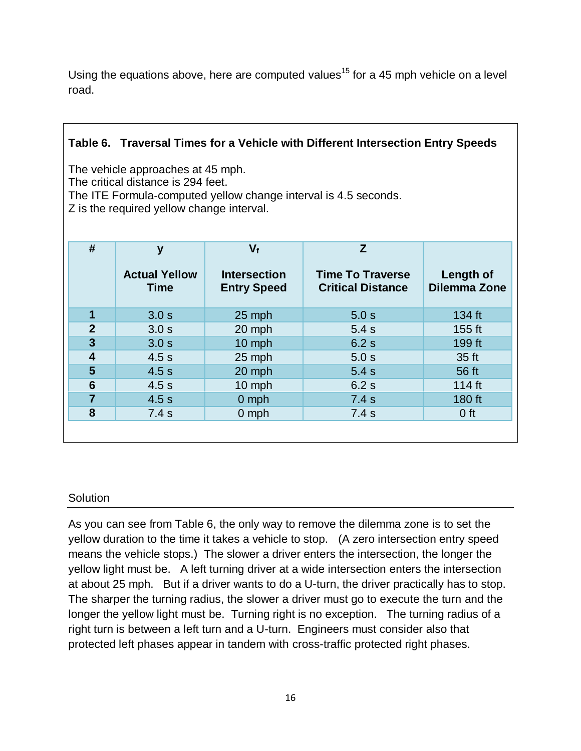Using the equations above, here are computed values<sup>15</sup> for a 45 mph vehicle on a level road.

## **Table 6. Traversal Times for a Vehicle with Different Intersection Entry Speeds**

The vehicle approaches at 45 mph.

The critical distance is 294 feet.

The ITE Formula-computed yellow change interval is 4.5 seconds.

Z is the required yellow change interval.

| #                       | y                                   | $V_{f}$                                   | Z.                                                  |                                  |
|-------------------------|-------------------------------------|-------------------------------------------|-----------------------------------------------------|----------------------------------|
|                         | <b>Actual Yellow</b><br><b>Time</b> | <b>Intersection</b><br><b>Entry Speed</b> | <b>Time To Traverse</b><br><b>Critical Distance</b> | Length of<br><b>Dilemma Zone</b> |
| 1                       | 3.0 s                               | 25 mph                                    | 5.0 s                                               | 134 ft                           |
| $\overline{2}$          | 3.0 s                               | 20 mph                                    | 5.4s                                                | $155$ ft                         |
| $\overline{\mathbf{3}}$ | 3.0 <sub>s</sub>                    | 10 mph                                    | 6.2s                                                | 199 ft                           |
| $\overline{\mathbf{4}}$ | 4.5s                                | 25 mph                                    | 5.0 s                                               | 35 ft                            |
| 5                       | 4.5s                                | 20 mph                                    | 5.4s                                                | 56 ft                            |
| 6                       | 4.5s                                | 10 mph                                    | 6.2s                                                | 114 ft                           |
| $\overline{7}$          | 4.5s                                | $0$ mph                                   | 7.4s                                                | 180 ft                           |
| 8                       | 7.4s                                | $0$ mph                                   | 7.4s                                                | 0 <sub>ft</sub>                  |
|                         |                                     |                                           |                                                     |                                  |

#### **Solution**

As you can see from Table 6, the only way to remove the dilemma zone is to set the yellow duration to the time it takes a vehicle to stop. (A zero intersection entry speed means the vehicle stops.) The slower a driver enters the intersection, the longer the yellow light must be. A left turning driver at a wide intersection enters the intersection at about 25 mph. But if a driver wants to do a U-turn, the driver practically has to stop. The sharper the turning radius, the slower a driver must go to execute the turn and the longer the yellow light must be. Turning right is no exception. The turning radius of a right turn is between a left turn and a U-turn. Engineers must consider also that protected left phases appear in tandem with cross-traffic protected right phases.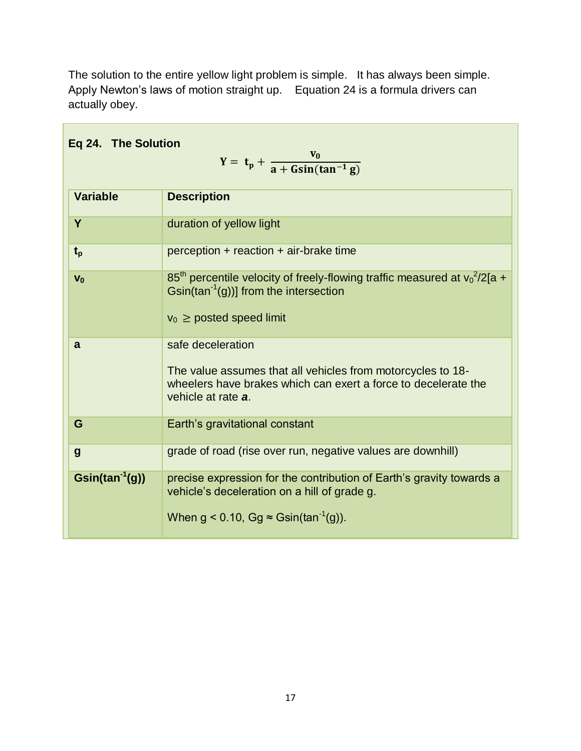| Eq 24. The Solution<br>$Y = t_p + \frac{v_0}{a + Gsin(tan^{-1} g)}$ |                                                                                                                                                                                     |  |
|---------------------------------------------------------------------|-------------------------------------------------------------------------------------------------------------------------------------------------------------------------------------|--|
| <b>Variable</b>                                                     | <b>Description</b>                                                                                                                                                                  |  |
| Y                                                                   | duration of yellow light                                                                                                                                                            |  |
| $t_{p}$                                                             | $perception + reaction + air-brake time$                                                                                                                                            |  |
| $V_0$                                                               | $85th$ percentile velocity of freely-flowing traffic measured at $v_0^2/2[a +$<br>$\sin(\tan^{-1}(g))$ ] from the intersection<br>$v_0 \ge$ posted speed limit                      |  |
| a                                                                   | safe deceleration<br>The value assumes that all vehicles from motorcycles to 18-<br>wheelers have brakes which can exert a force to decelerate the<br>vehicle at rate a.            |  |
| G                                                                   | Earth's gravitational constant                                                                                                                                                      |  |
| $\boldsymbol{g}$                                                    | grade of road (rise over run, negative values are downhill)                                                                                                                         |  |
| $\mathsf{Gsin}(\tan^{-1}(g))$                                       | precise expression for the contribution of Earth's gravity towards a<br>vehicle's deceleration on a hill of grade g.<br>When $g < 0.10$ , Gg $\approx$ Gsin(tan <sup>-1</sup> (g)). |  |

The solution to the entire yellow light problem is simple. It has always been simple. Apply Newton's laws of motion straight up. Equation 24 is a formula drivers can actually obey.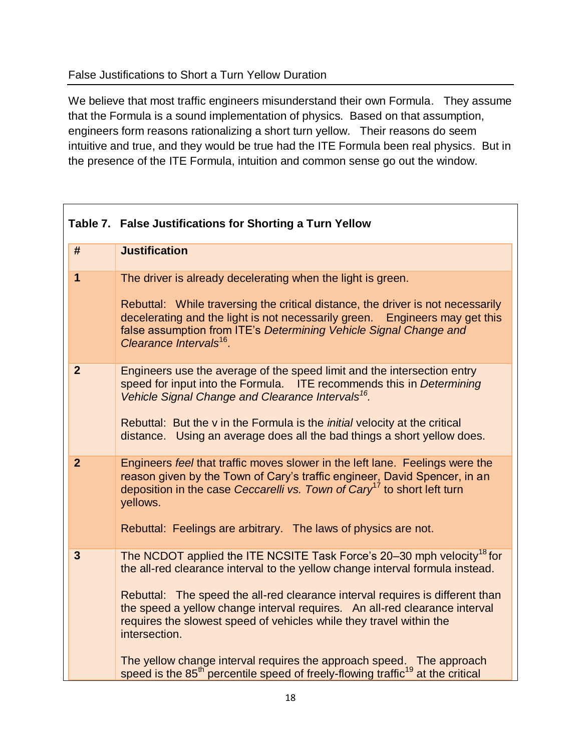#### False Justifications to Short a Turn Yellow Duration

We believe that most traffic engineers misunderstand their own Formula. They assume that the Formula is a sound implementation of physics. Based on that assumption, engineers form reasons rationalizing a short turn yellow. Their reasons do seem intuitive and true, and they would be true had the ITE Formula been real physics. But in the presence of the ITE Formula, intuition and common sense go out the window.

|                         | Table 7. False Justifications for Shorting a Turn Yellow                                                                                                                                                                                                                                                                                                                                                                                                                                                                                                                                                     |
|-------------------------|--------------------------------------------------------------------------------------------------------------------------------------------------------------------------------------------------------------------------------------------------------------------------------------------------------------------------------------------------------------------------------------------------------------------------------------------------------------------------------------------------------------------------------------------------------------------------------------------------------------|
| #                       | <b>Justification</b>                                                                                                                                                                                                                                                                                                                                                                                                                                                                                                                                                                                         |
| $\mathbf 1$             | The driver is already decelerating when the light is green.<br>Rebuttal: While traversing the critical distance, the driver is not necessarily<br>decelerating and the light is not necessarily green. Engineers may get this<br>false assumption from ITE's Determining Vehicle Signal Change and<br>Clearance Intervals <sup>16</sup> .                                                                                                                                                                                                                                                                    |
| $\overline{2}$          | Engineers use the average of the speed limit and the intersection entry<br>speed for input into the Formula. ITE recommends this in Determining<br>Vehicle Signal Change and Clearance Intervals <sup>16</sup> .<br>Rebuttal: But the v in the Formula is the <i>initial</i> velocity at the critical<br>distance. Using an average does all the bad things a short yellow does.                                                                                                                                                                                                                             |
| $\overline{2}$          | Engineers feel that traffic moves slower in the left lane. Feelings were the<br>reason given by the Town of Cary's traffic engineer, David Spencer, in an<br>deposition in the case Ceccarelli vs. Town of Cary <sup>17</sup> to short left turn<br>yellows.<br>Rebuttal: Feelings are arbitrary. The laws of physics are not.                                                                                                                                                                                                                                                                               |
| $\overline{\mathbf{3}}$ | The NCDOT applied the ITE NCSITE Task Force's 20–30 mph velocity <sup>18</sup> for<br>the all-red clearance interval to the yellow change interval formula instead.<br>Rebuttal: The speed the all-red clearance interval requires is different than<br>the speed a yellow change interval requires. An all-red clearance interval<br>requires the slowest speed of vehicles while they travel within the<br>intersection.<br>The yellow change interval requires the approach speed. The approach<br>speed is the 85 <sup>th</sup> percentile speed of freely-flowing traffic <sup>19</sup> at the critical |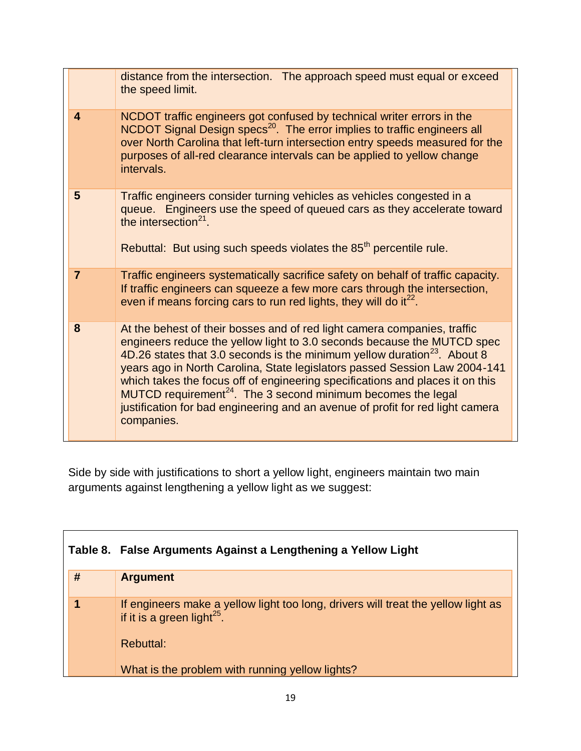|                         | distance from the intersection. The approach speed must equal or exceed<br>the speed limit.                                                                                                                                                                                                                                                                                                                                                                                                                                                                                              |
|-------------------------|------------------------------------------------------------------------------------------------------------------------------------------------------------------------------------------------------------------------------------------------------------------------------------------------------------------------------------------------------------------------------------------------------------------------------------------------------------------------------------------------------------------------------------------------------------------------------------------|
| $\overline{\mathbf{4}}$ | NCDOT traffic engineers got confused by technical writer errors in the<br>NCDOT Signal Design specs <sup>20</sup> . The error implies to traffic engineers all<br>over North Carolina that left-turn intersection entry speeds measured for the<br>purposes of all-red clearance intervals can be applied to yellow change<br>intervals.                                                                                                                                                                                                                                                 |
| 5                       | Traffic engineers consider turning vehicles as vehicles congested in a<br>queue. Engineers use the speed of queued cars as they accelerate toward<br>the intersection <sup>21</sup> .<br>Rebuttal: But using such speeds violates the 85 <sup>th</sup> percentile rule.                                                                                                                                                                                                                                                                                                                  |
| $\overline{7}$          | Traffic engineers systematically sacrifice safety on behalf of traffic capacity.<br>If traffic engineers can squeeze a few more cars through the intersection,<br>even if means forcing cars to run red lights, they will do it <sup>22</sup> .                                                                                                                                                                                                                                                                                                                                          |
| 8                       | At the behest of their bosses and of red light camera companies, traffic<br>engineers reduce the yellow light to 3.0 seconds because the MUTCD spec<br>4D.26 states that 3.0 seconds is the minimum yellow duration <sup>23</sup> . About 8<br>years ago in North Carolina, State legislators passed Session Law 2004-141<br>which takes the focus off of engineering specifications and places it on this<br>$MUTCD$ requirement <sup>24</sup> . The 3 second minimum becomes the legal<br>justification for bad engineering and an avenue of profit for red light camera<br>companies. |

Side by side with justifications to short a yellow light, engineers maintain two main arguments against lengthening a yellow light as we suggest:

 $\mathbf{r}$ 

|   | Table 8. False Arguments Against a Lengthening a Yellow Light                                                            |  |
|---|--------------------------------------------------------------------------------------------------------------------------|--|
| # | <b>Argument</b>                                                                                                          |  |
|   | If engineers make a yellow light too long, drivers will treat the yellow light as if it is a green light <sup>25</sup> . |  |
|   | <b>Rebuttal:</b>                                                                                                         |  |
|   | What is the problem with running yellow lights?                                                                          |  |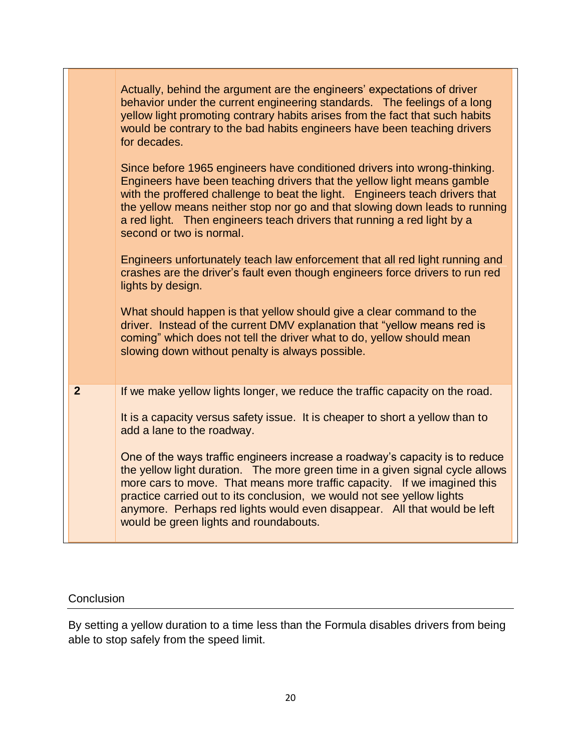|                | Actually, behind the argument are the engineers' expectations of driver<br>behavior under the current engineering standards. The feelings of a long<br>yellow light promoting contrary habits arises from the fact that such habits<br>would be contrary to the bad habits engineers have been teaching drivers<br>for decades.                                                                                                           |
|----------------|-------------------------------------------------------------------------------------------------------------------------------------------------------------------------------------------------------------------------------------------------------------------------------------------------------------------------------------------------------------------------------------------------------------------------------------------|
|                | Since before 1965 engineers have conditioned drivers into wrong-thinking.<br>Engineers have been teaching drivers that the yellow light means gamble<br>with the proffered challenge to beat the light. Engineers teach drivers that<br>the yellow means neither stop nor go and that slowing down leads to running<br>a red light. Then engineers teach drivers that running a red light by a<br>second or two is normal.                |
|                | Engineers unfortunately teach law enforcement that all red light running and<br>crashes are the driver's fault even though engineers force drivers to run red<br>lights by design.                                                                                                                                                                                                                                                        |
|                | What should happen is that yellow should give a clear command to the<br>driver. Instead of the current DMV explanation that "yellow means red is<br>coming" which does not tell the driver what to do, yellow should mean<br>slowing down without penalty is always possible.                                                                                                                                                             |
| $\overline{2}$ | If we make yellow lights longer, we reduce the traffic capacity on the road.                                                                                                                                                                                                                                                                                                                                                              |
|                | It is a capacity versus safety issue. It is cheaper to short a yellow than to<br>add a lane to the roadway.                                                                                                                                                                                                                                                                                                                               |
|                | One of the ways traffic engineers increase a roadway's capacity is to reduce<br>the yellow light duration. The more green time in a given signal cycle allows<br>more cars to move. That means more traffic capacity. If we imagined this<br>practice carried out to its conclusion, we would not see yellow lights<br>anymore. Perhaps red lights would even disappear. All that would be left<br>would be green lights and roundabouts. |

┑

## **Conclusion**

By setting a yellow duration to a time less than the Formula disables drivers from being able to stop safely from the speed limit.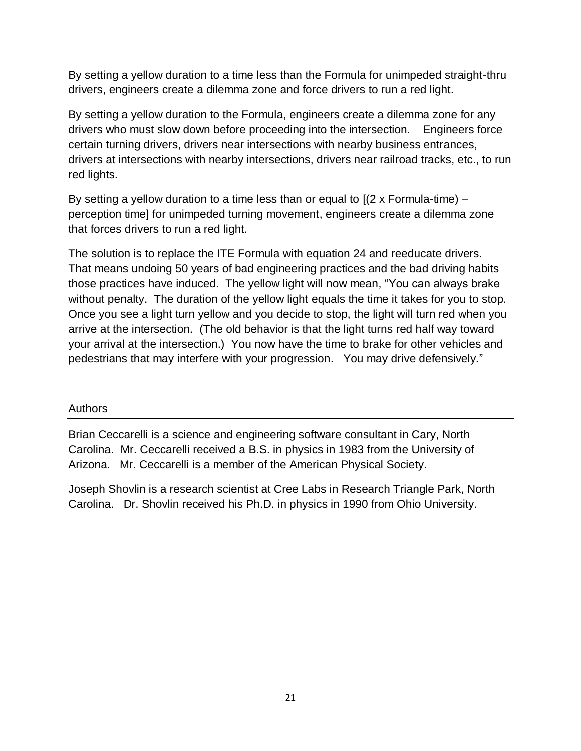By setting a yellow duration to a time less than the Formula for unimpeded straight-thru drivers, engineers create a dilemma zone and force drivers to run a red light.

By setting a yellow duration to the Formula, engineers create a dilemma zone for any drivers who must slow down before proceeding into the intersection. Engineers force certain turning drivers, drivers near intersections with nearby business entrances, drivers at intersections with nearby intersections, drivers near railroad tracks, etc., to run red lights.

By setting a yellow duration to a time less than or equal to  $[(2 \times \text{Formula-time})$ perception time] for unimpeded turning movement, engineers create a dilemma zone that forces drivers to run a red light.

The solution is to replace the ITE Formula with equation 24 and reeducate drivers. That means undoing 50 years of bad engineering practices and the bad driving habits those practices have induced. The yellow light will now mean, "You can always brake without penalty. The duration of the yellow light equals the time it takes for you to stop. Once you see a light turn yellow and you decide to stop, the light will turn red when you arrive at the intersection. (The old behavior is that the light turns red half way toward your arrival at the intersection.) You now have the time to brake for other vehicles and pedestrians that may interfere with your progression. You may drive defensively."

## Authors

Brian Ceccarelli is a science and engineering software consultant in Cary, North Carolina. Mr. Ceccarelli received a B.S. in physics in 1983 from the University of Arizona. Mr. Ceccarelli is a member of the American Physical Society.

Joseph Shovlin is a research scientist at Cree Labs in Research Triangle Park, North Carolina. Dr. Shovlin received his Ph.D. in physics in 1990 from Ohio University.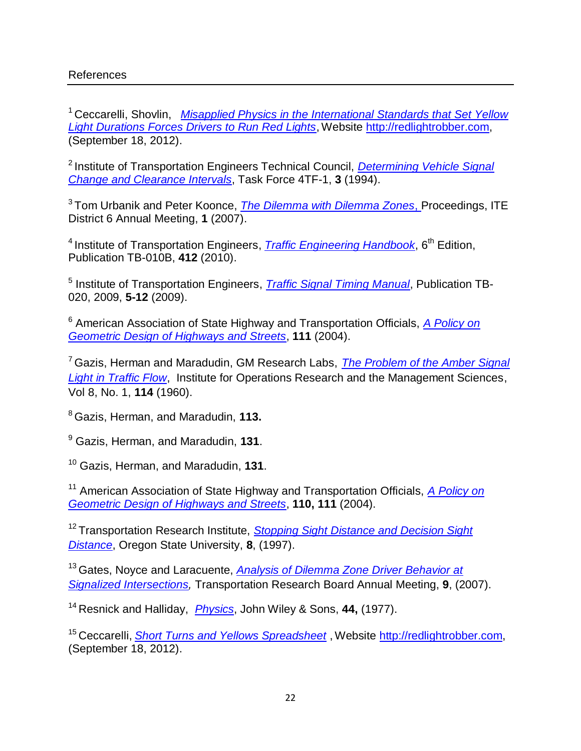#### References

<sup>1</sup> Ceccarelli, Shovlin, *Misapplied Physics in the International Standards that Set Yellow [Light Durations Forces Drivers to Run Red Lights](http://redlightrobber.com/red/links_pdf/Misapplied-Physics-Red-Light-Cameras.pdf)*, Website [http://redlightrobber.com,](http://redlightrobber.com/) (September 18, 2012).

<sup>2</sup> Institute of Transportation Engineers Technical Council, *Determining Vehicle Signal [Change and Clearance Intervals](http://redlightrobber.com/red/links_pdf/ITE-Determining-Vehicle-Signal-Change-Intervals.pdf)*, Task Force 4TF-1, **3** (1994).

3 Tom Urbanik and Peter Koonce, *[The Dilemma with Dilemma Zones](http://redlightrobber.com/red/links_pdf/The-Dilemma-with-Dilemma-Zones.pdf)*, Proceedings, ITE District 6 Annual Meeting, **1** (2007).

<sup>4</sup> Institute of Transportation Engineers, *[Traffic Engineering Handbook](http://redlightrobber.com/red/links_pdf/Traffic-Engineering-Handbook-2010-6th-Edition.pdf)*, 6<sup>th</sup> Edition, Publication TB-010B, **412** (2010).

<sup>5</sup> Institute of Transportation Engineers, *[Traffic Signal Timing Manual](http://redlightrobber.com/red/links_pdf/Traffic-Signal-Timing-Manual-2009-p5-12-13.pdf)*, Publication TB-020, 2009, **5-12** (2009).

<sup>6</sup> American Association of State Highway and Transportation Officials, *[A Policy on](http://redlightrobber.com/red/links_pdf/AASHTO_Perception-Times-Studies.pdf)  [Geometric Design of Highways and Streets](http://redlightrobber.com/red/links_pdf/AASHTO_Perception-Times-Studies.pdf)*, **111** (2004).

<sup>7</sup> Gazis, Herman and Maradudin, GM Research Labs, *[The Problem of the Amber Signal](http://redlightrobber.com/red/links_pdf/The-Problem-of-the-Amber-Signal-Light-in-Traffic-Flow.pdf)  [Light in Traffic Flow](http://redlightrobber.com/red/links_pdf/The-Problem-of-the-Amber-Signal-Light-in-Traffic-Flow.pdf)*, Institute for Operations Research and the Management Sciences, Vol 8, No. 1, **114** (1960).

<sup>8</sup> Gazis, Herman, and Maradudin, **113.**

<sup>9</sup> Gazis, Herman, and Maradudin, **131**.

<sup>10</sup> Gazis, Herman, and Maradudin, **131**.

<sup>11</sup> American Association of State Highway and Transportation Officials, *[A Policy on](http://redlightrobber.com/red/links_pdf/AASHTO_Perception-Times-Studies.pdf)  [Geometric Design of Highways and Streets](http://redlightrobber.com/red/links_pdf/AASHTO_Perception-Times-Studies.pdf)*, **110, 111** (2004).

<sup>12</sup> Transportation Research Institute, *Stopping Sight Distance and Decision Sight [Distance](http://redlightrobber.com/red/links_pdf/Perception-Reaction-Oregon.pdf)*, Oregon State University, **8**, (1997).

<sup>13</sup>Gates, Noyce and Laracuente, *[Analysis of Dilemma Zone Driver Behavior at](http://redlightrobber.com/red/links_pdf/Deceleration-Rates-Wisconsin.pdf)*  **[Signalized Intersections,](http://redlightrobber.com/red/links_pdf/Deceleration-Rates-Wisconsin.pdf) Transportation Research Board Annual Meeting, 9, (2007).** 

<sup>14</sup>Resnick and Halliday, *[Physics](http://redlightrobber.com/red/links_pdf/Freshman-Physics-Kinematic-Equations-of-Motion.pdf)*, John Wiley & Sons, **44,** (1977).

<sup>15</sup> Ceccarelli, *[Short Turns and Yellows Spreadsheet](http://redlightrobber.com/red/links_pdf/Short-Yellows-Cary.zip)* , Website [http://redlightrobber.com,](http://redlightrobber.com/) (September 18, 2012).